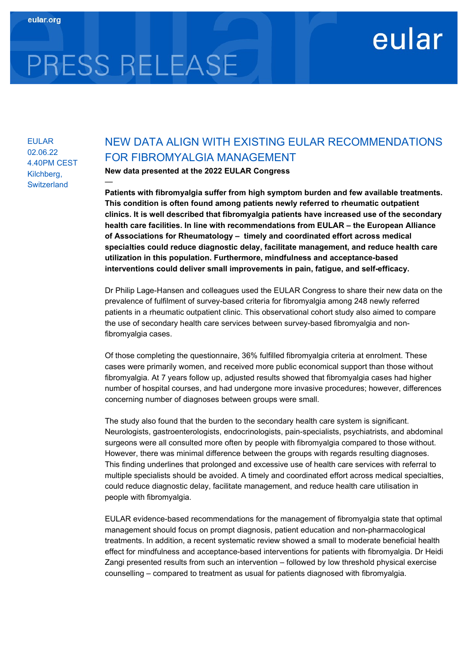# PRESS RELEASE

—

### EULAR 02.06.22 4.40PM CEST Kilchberg, **Switzerland**

## NEW DATA ALIGN WITH EXISTING EULAR RECOMMENDATIONS FOR FIBROMYALGIA MANAGEMENT

eular

New data presented at the 2022 EULAR Congress

Patients with fibromyalgia suffer from high symptom burden and few available treatments. This condition is often found among patients newly referred to rheumatic outpatient clinics. It is well described that fibromyalgia patients have increased use of the secondary health care facilities. In line with recommendations from EULAR – the European Alliance of Associations for Rheumatology – timely and coordinated effort across medical specialties could reduce diagnostic delay, facilitate management, and reduce health care utilization in this population. Furthermore, mindfulness and acceptance-based interventions could deliver small improvements in pain, fatigue, and self-efficacy.

Dr Philip Lage-Hansen and colleagues used the EULAR Congress to share their new data on the prevalence of fulfilment of survey-based criteria for fibromyalgia among 248 newly referred patients in a rheumatic outpatient clinic. This observational cohort study also aimed to compare the use of secondary health care services between survey-based fibromyalgia and nonfibromyalgia cases.

Of those completing the questionnaire, 36% fulfilled fibromyalgia criteria at enrolment. These cases were primarily women, and received more public economical support than those without fibromyalgia. At 7 years follow up, adjusted results showed that fibromyalgia cases had higher number of hospital courses, and had undergone more invasive procedures; however, differences concerning number of diagnoses between groups were small.

The study also found that the burden to the secondary health care system is significant. Neurologists, gastroenterologists, endocrinologists, pain-specialists, psychiatrists, and abdominal surgeons were all consulted more often by people with fibromyalgia compared to those without. However, there was minimal difference between the groups with regards resulting diagnoses. This finding underlines that prolonged and excessive use of health care services with referral to multiple specialists should be avoided. A timely and coordinated effort across medical specialties, could reduce diagnostic delay, facilitate management, and reduce health care utilisation in people with fibromyalgia.

EULAR evidence-based recommendations for the management of fibromyalgia state that optimal management should focus on prompt diagnosis, patient education and non-pharmacological treatments. In addition, a recent systematic review showed a small to moderate beneficial health effect for mindfulness and acceptance-based interventions for patients with fibromyalgia. Dr Heidi Zangi presented results from such an intervention – followed by low threshold physical exercise counselling – compared to treatment as usual for patients diagnosed with fibromyalgia.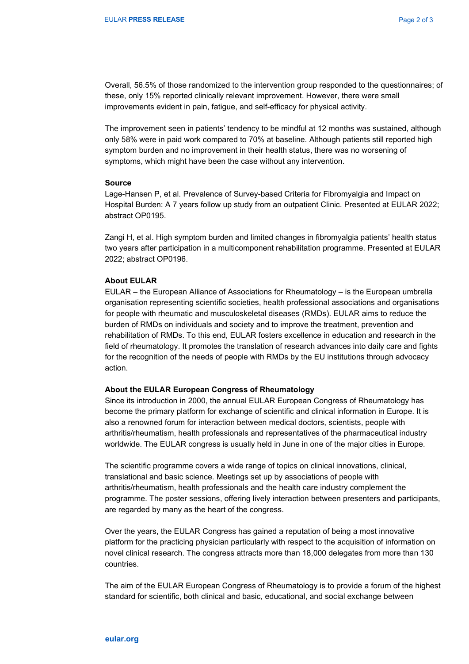Overall, 56.5% of those randomized to the intervention group responded to the questionnaires; of these, only 15% reported clinically relevant improvement. However, there were small improvements evident in pain, fatigue, and self-efficacy for physical activity.

The improvement seen in patients' tendency to be mindful at 12 months was sustained, although only 58% were in paid work compared to 70% at baseline. Although patients still reported high symptom burden and no improvement in their health status, there was no worsening of symptoms, which might have been the case without any intervention.

#### Source

Lage-Hansen P, et al. Prevalence of Survey-based Criteria for Fibromyalgia and Impact on Hospital Burden: A 7 years follow up study from an outpatient Clinic. Presented at EULAR 2022; abstract OP0195.

Zangi H, et al. High symptom burden and limited changes in fibromyalgia patients' health status two years after participation in a multicomponent rehabilitation programme. Presented at EULAR 2022; abstract OP0196.

#### About EULAR

EULAR – the European Alliance of Associations for Rheumatology – is the European umbrella organisation representing scientific societies, health professional associations and organisations for people with rheumatic and musculoskeletal diseases (RMDs). EULAR aims to reduce the burden of RMDs on individuals and society and to improve the treatment, prevention and rehabilitation of RMDs. To this end, EULAR fosters excellence in education and research in the field of rheumatology. It promotes the translation of research advances into daily care and fights for the recognition of the needs of people with RMDs by the EU institutions through advocacy action.

#### About the EULAR European Congress of Rheumatology

Since its introduction in 2000, the annual EULAR European Congress of Rheumatology has become the primary platform for exchange of scientific and clinical information in Europe. It is also a renowned forum for interaction between medical doctors, scientists, people with arthritis/rheumatism, health professionals and representatives of the pharmaceutical industry worldwide. The EULAR congress is usually held in June in one of the major cities in Europe.

The scientific programme covers a wide range of topics on clinical innovations, clinical, translational and basic science. Meetings set up by associations of people with arthritis/rheumatism, health professionals and the health care industry complement the programme. The poster sessions, offering lively interaction between presenters and participants, are regarded by many as the heart of the congress.

Over the years, the EULAR Congress has gained a reputation of being a most innovative platform for the practicing physician particularly with respect to the acquisition of information on novel clinical research. The congress attracts more than 18,000 delegates from more than 130 countries.

The aim of the EULAR European Congress of Rheumatology is to provide a forum of the highest standard for scientific, both clinical and basic, educational, and social exchange between